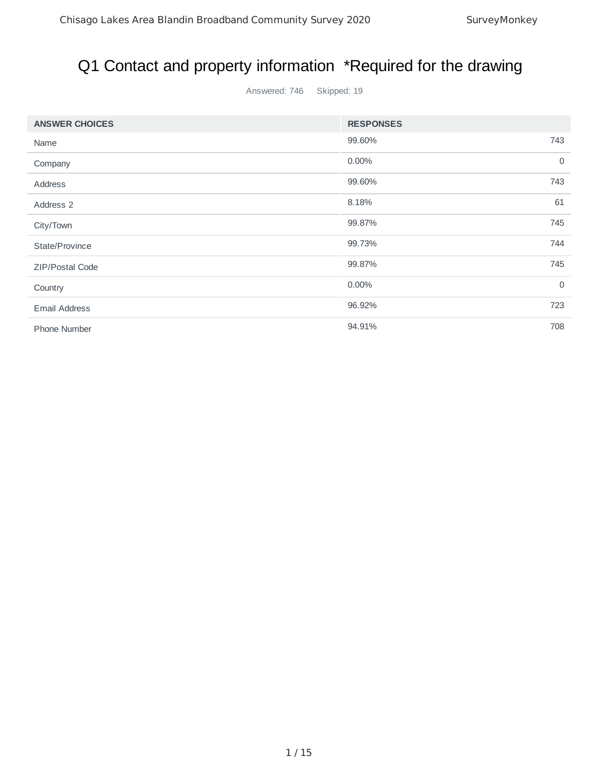# Q1 Contact and property information \*Required for the drawing

Answered: 746 Skipped: 19

| <b>ANSWER CHOICES</b> | <b>RESPONSES</b> |                |
|-----------------------|------------------|----------------|
| Name                  | 99.60%           | 743            |
| Company               | 0.00%            | $\overline{0}$ |
| Address               | 99.60%           | 743            |
| Address 2             | 8.18%            | 61             |
| City/Town             | 99.87%           | 745            |
| State/Province        | 99.73%           | 744            |
| ZIP/Postal Code       | 99.87%           | 745            |
| Country               | 0.00%            | $\overline{0}$ |
| <b>Email Address</b>  | 96.92%           | 723            |
| Phone Number          | 94.91%           | 708            |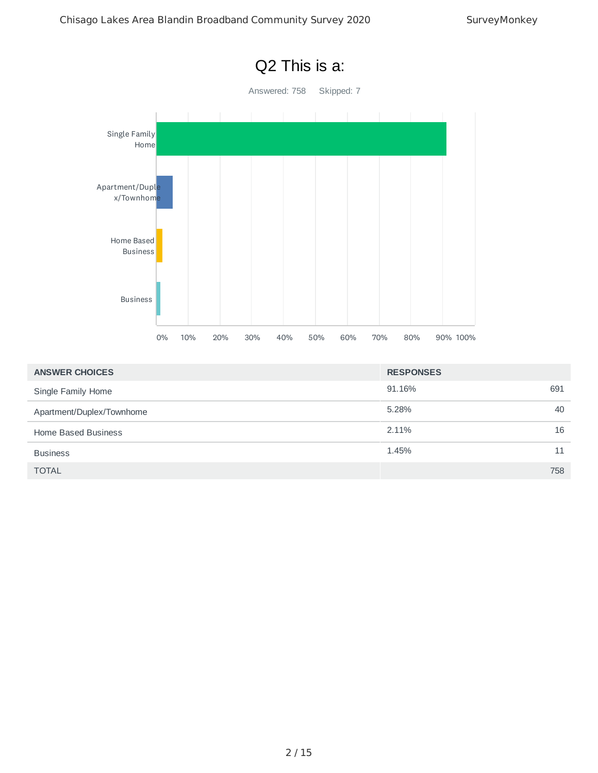

| <b>ANSWER CHOICES</b>     | <b>RESPONSES</b> |     |
|---------------------------|------------------|-----|
| Single Family Home        | 91.16%           | 691 |
| Apartment/Duplex/Townhome | 5.28%            | 40  |
| Home Based Business       | 2.11%            | 16  |
| <b>Business</b>           | 1.45%            | 11  |
| <b>TOTAL</b>              |                  | 758 |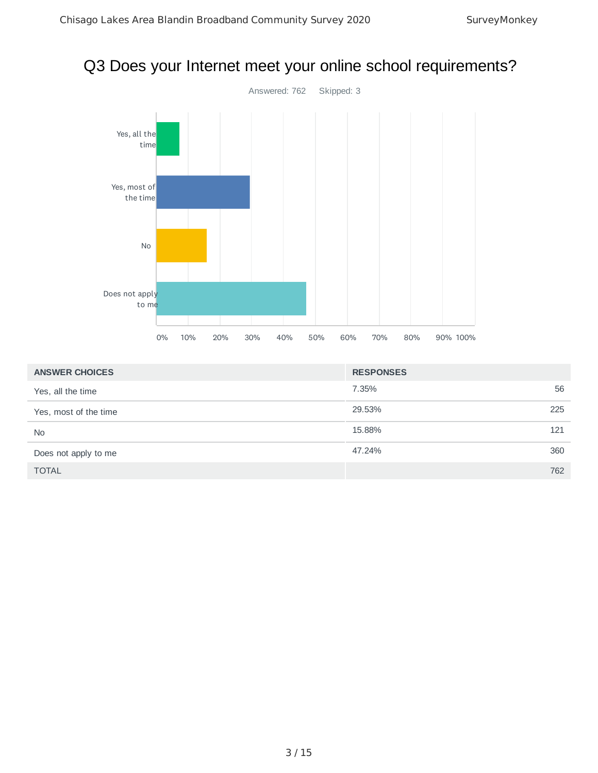### Q3 Does your Internet meet your online school requirements?



| <b>ANSWER CHOICES</b> | <b>RESPONSES</b> |     |
|-----------------------|------------------|-----|
| Yes, all the time     | 7.35%            | 56  |
| Yes, most of the time | 29.53%           | 225 |
| <b>No</b>             | 15.88%           | 121 |
| Does not apply to me  | 47.24%           | 360 |
| <b>TOTAL</b>          |                  | 762 |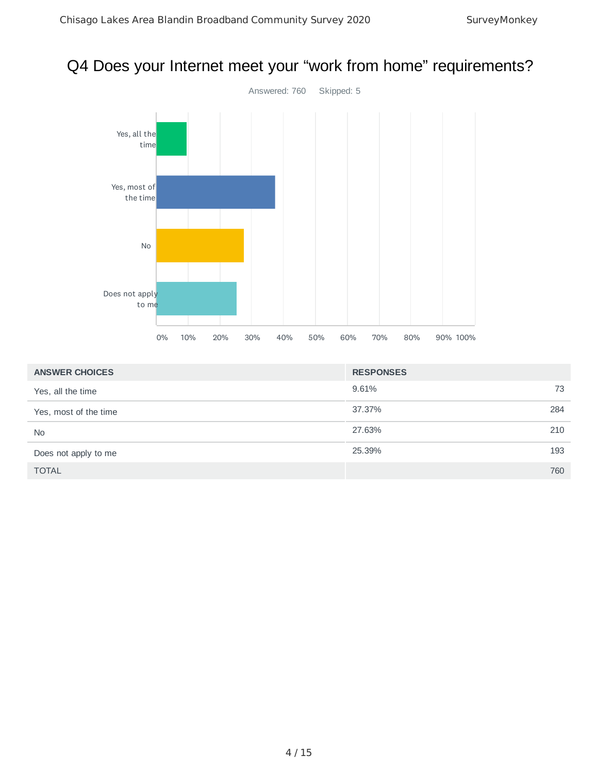### Q4 Does your Internet meet your "work from home" requirements?



| <b>ANSWER CHOICES</b> | <b>RESPONSES</b> |     |
|-----------------------|------------------|-----|
| Yes, all the time     | 9.61%            | 73  |
| Yes, most of the time | 37.37%           | 284 |
| <b>No</b>             | 27.63%           | 210 |
| Does not apply to me  | 25.39%           | 193 |
| <b>TOTAL</b>          |                  | 760 |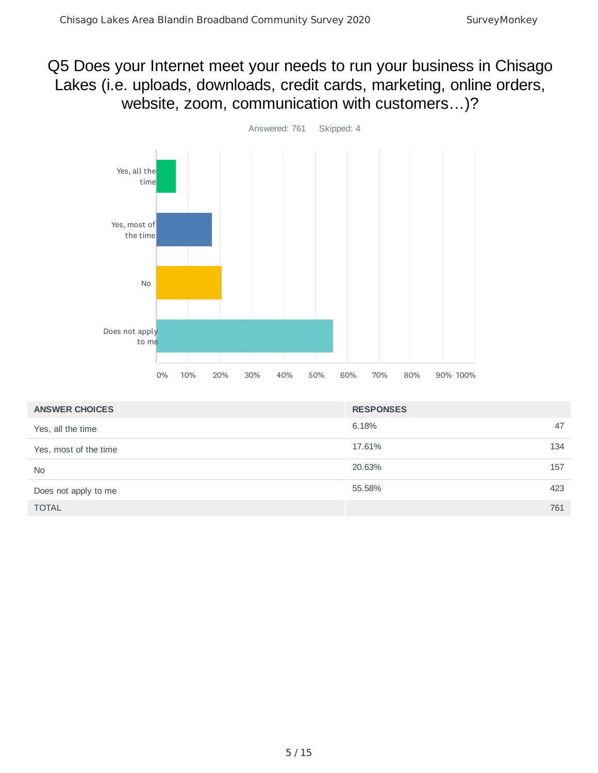### Q5 Does your Internet meet your needs to run your business in Chisago Lakes (i.e. uploads, downloads, credit cards, marketing, online orders, website, zoom, communication with customers…)?



| <b>ANSWER CHOICES</b> | <b>RESPONSES</b> |     |
|-----------------------|------------------|-----|
| Yes, all the time     | 6.18%            | 47  |
| Yes, most of the time | 17.61%           | 134 |
| <b>No</b>             | 20.63%           | 157 |
| Does not apply to me  | 55.58%           | 423 |
| <b>TOTAL</b>          |                  | 761 |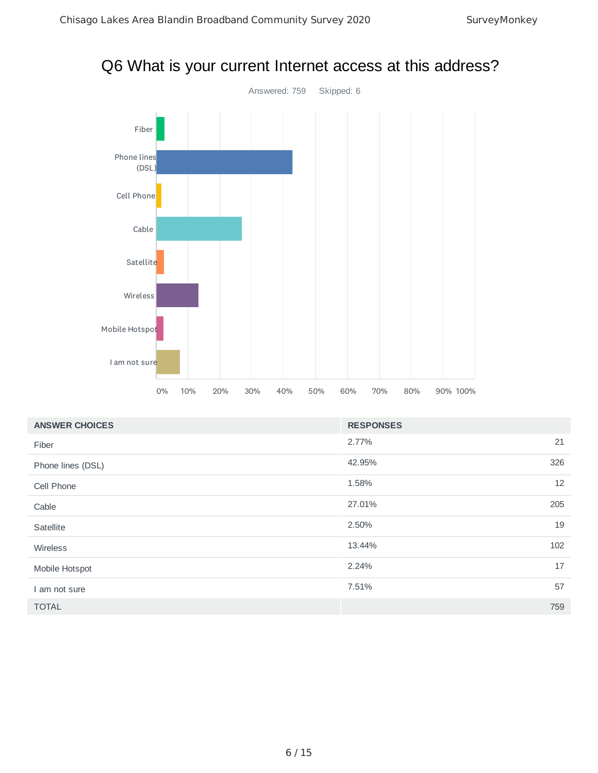### Q6 What is your current Internet access at this address?



| <b>ANSWER CHOICES</b> | <b>RESPONSES</b> |     |
|-----------------------|------------------|-----|
| Fiber                 | 2.77%            | 21  |
| Phone lines (DSL)     | 42.95%           | 326 |
| Cell Phone            | 1.58%            | 12  |
| Cable                 | 27.01%           | 205 |
| Satellite             | 2.50%            | 19  |
| Wireless              | 13.44%           | 102 |
| Mobile Hotspot        | 2.24%            | 17  |
| am not sure           | 7.51%            | 57  |
| <b>TOTAL</b>          |                  | 759 |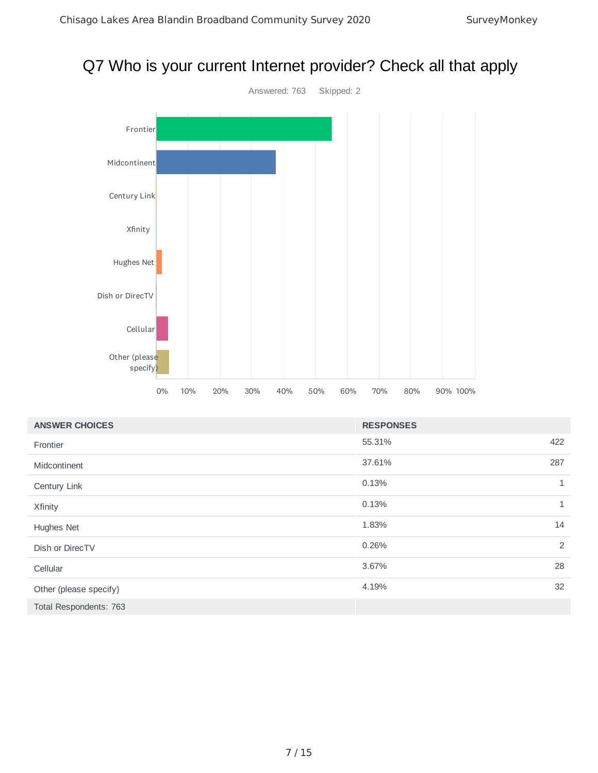# Q7 Who is your current Internet provider? Check all that apply



| <b>ANSWER CHOICES</b>  | <b>RESPONSES</b> |              |
|------------------------|------------------|--------------|
| Frontier               | 55.31%           | 422          |
| Midcontinent           | 37.61%           | 287          |
| Century Link           | 0.13%            | $\mathbf{1}$ |
| Xfinity                | 0.13%            | $\mathbf{1}$ |
| Hughes Net             | 1.83%            | 14           |
| Dish or DirecTV        | 0.26%            | 2            |
| Cellular               | 3.67%            | 28           |
| Other (please specify) | 4.19%            | 32           |
| Total Respondents: 763 |                  |              |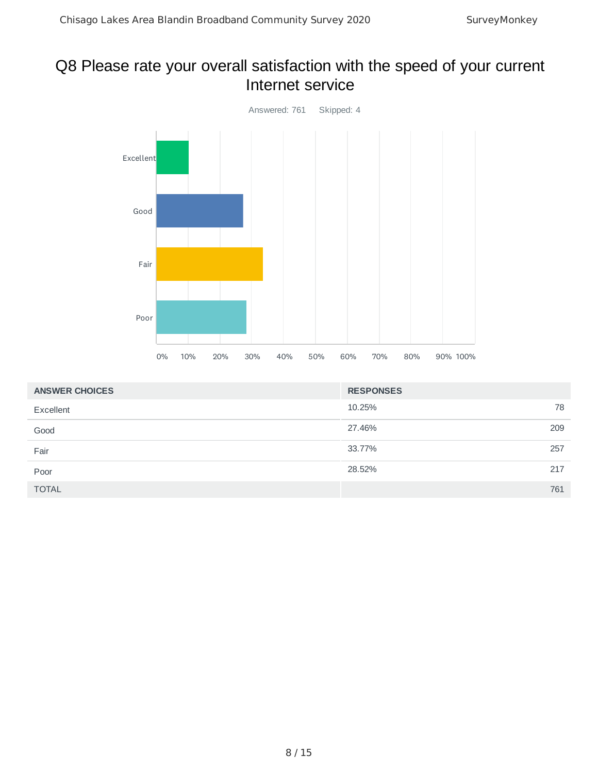### Q8 Please rate your overall satisfaction with the speed of your current Internet service



| <b>ANSWER CHOICES</b> | <b>RESPONSES</b> |     |
|-----------------------|------------------|-----|
| Excellent             | 10.25%           | 78  |
| Good                  | 27.46%           | 209 |
| Fair                  | 33.77%           | 257 |
| Poor                  | 28.52%           | 217 |
| <b>TOTAL</b>          |                  | 761 |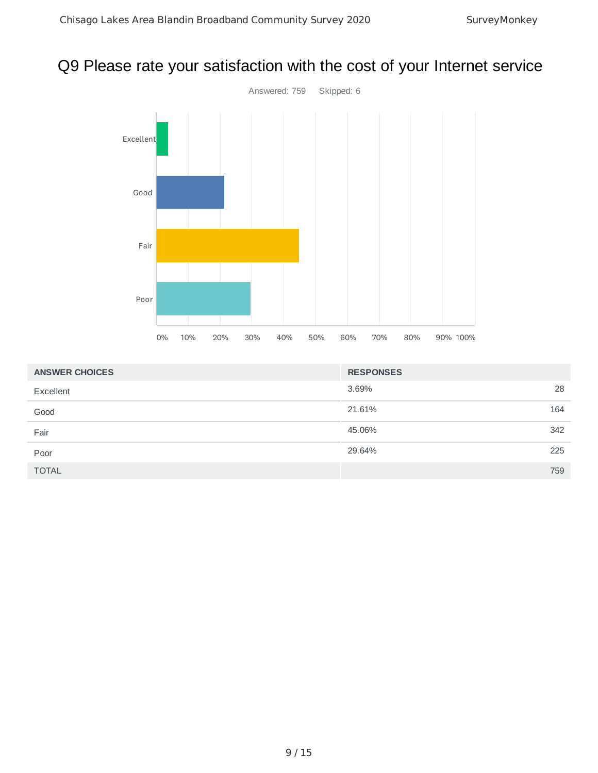### Q9 Please rate your satisfaction with the cost of your Internet service



| <b>ANSWER CHOICES</b> | <b>RESPONSES</b> |     |
|-----------------------|------------------|-----|
| Excellent             | 3.69%            | 28  |
| Good                  | 21.61%           | 164 |
| Fair                  | 45.06%           | 342 |
| Poor                  | 29.64%           | 225 |
| <b>TOTAL</b>          |                  | 759 |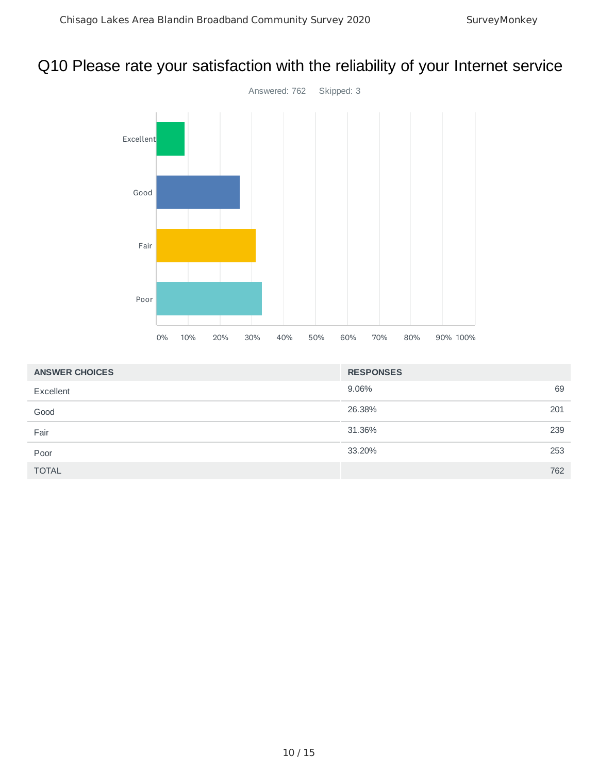### Q10 Please rate your satisfaction with the reliability of your Internet service



| <b>ANSWER CHOICES</b> | <b>RESPONSES</b> |     |
|-----------------------|------------------|-----|
| Excellent             | 9.06%            | 69  |
| Good                  | 26.38%           | 201 |
| Fair                  | 31.36%           | 239 |
| Poor                  | 33.20%           | 253 |
| <b>TOTAL</b>          |                  | 762 |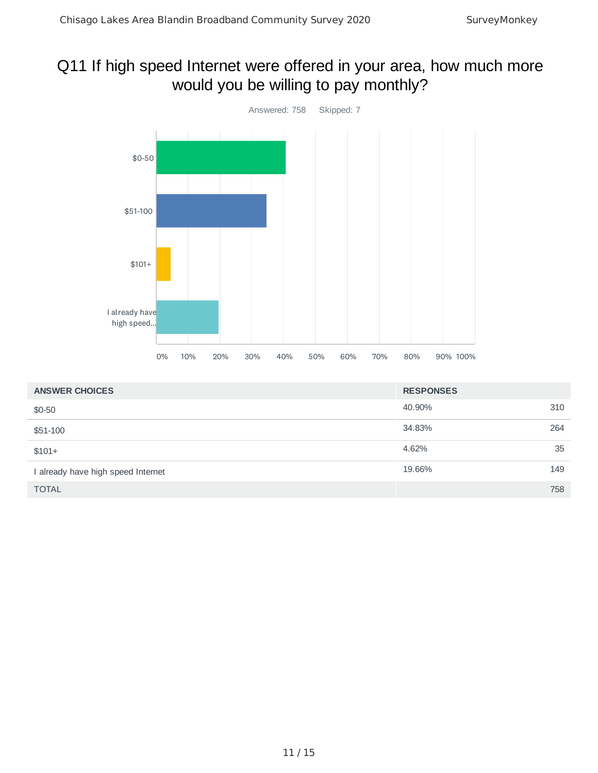### Q11 If high speed Internet were offered in your area, how much more would you be willing to pay monthly?



| <b>ANSWER CHOICES</b>              | <b>RESPONSES</b> |     |
|------------------------------------|------------------|-----|
| $$0-50$                            | 40.90%           | 310 |
| \$51-100                           | 34.83%           | 264 |
| $$101+$                            | 4.62%            | 35  |
| I already have high speed Internet | 19.66%           | 149 |
| <b>TOTAL</b>                       |                  | 758 |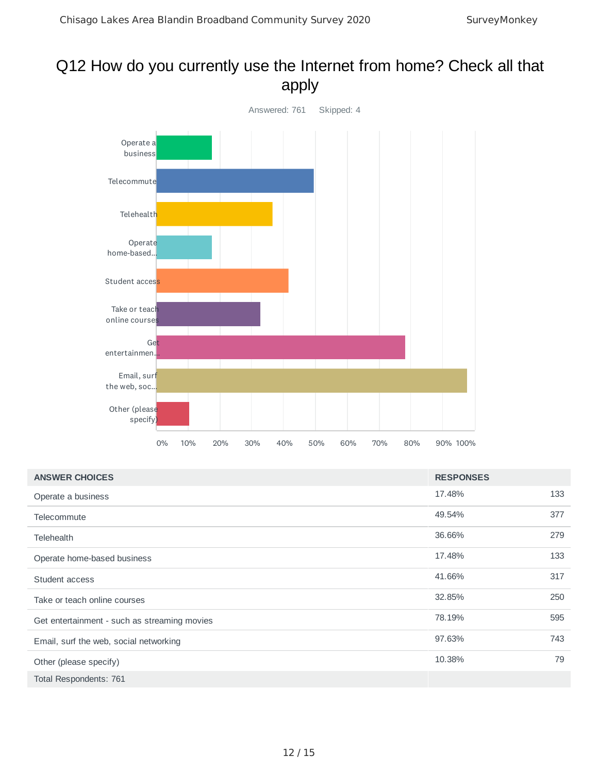### Q12 How do you currently use the Internet from home? Check all that apply



| <b>ANSWER CHOICES</b>                        | <b>RESPONSES</b> |     |
|----------------------------------------------|------------------|-----|
| Operate a business                           | 17.48%           | 133 |
| Telecommute                                  | 49.54%           | 377 |
| <b>Telehealth</b>                            | 36.66%           | 279 |
| Operate home-based business                  | 17.48%           | 133 |
| Student access                               | 41.66%           | 317 |
| Take or teach online courses                 | 32.85%           | 250 |
| Get entertainment - such as streaming movies | 78.19%           | 595 |
| Email, surf the web, social networking       | 97.63%           | 743 |
| Other (please specify)                       | 10.38%           | 79  |
| Total Respondents: 761                       |                  |     |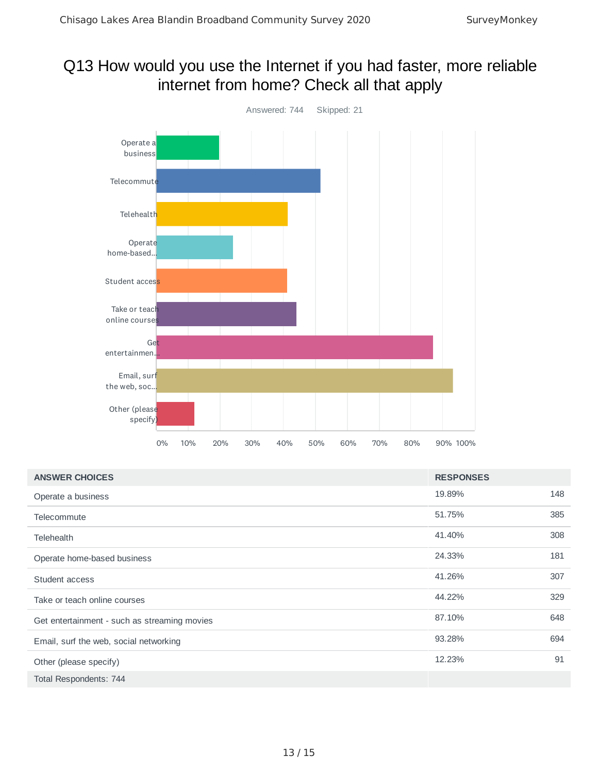### Q13 How would you use the Internet if you had faster, more reliable internet from home? Check all that apply



| <b>ANSWER CHOICES</b>                        | <b>RESPONSES</b> |     |
|----------------------------------------------|------------------|-----|
| Operate a business                           | 19.89%           | 148 |
| Telecommute                                  | 51.75%           | 385 |
| Telehealth                                   | 41.40%           | 308 |
| Operate home-based business                  | 24.33%           | 181 |
| Student access                               | 41.26%           | 307 |
| Take or teach online courses                 | 44.22%           | 329 |
| Get entertainment - such as streaming movies | 87.10%           | 648 |
| Email, surf the web, social networking       | 93.28%           | 694 |
| Other (please specify)                       | 12.23%           | 91  |
| Total Respondents: 744                       |                  |     |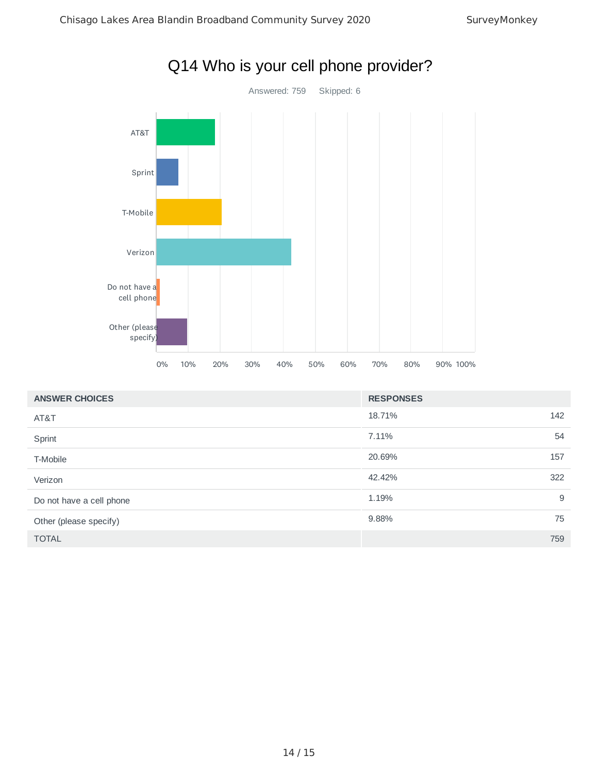

| <b>ANSWER CHOICES</b>    | <b>RESPONSES</b> |     |
|--------------------------|------------------|-----|
| AT&T                     | 18.71%           | 142 |
| Sprint                   | 7.11%            | 54  |
| T-Mobile                 | 20.69%           | 157 |
| Verizon                  | 42.42%           | 322 |
| Do not have a cell phone | 1.19%            | 9   |
| Other (please specify)   | 9.88%            | 75  |
| <b>TOTAL</b>             |                  | 759 |

### Q14 Who is your cell phone provider?